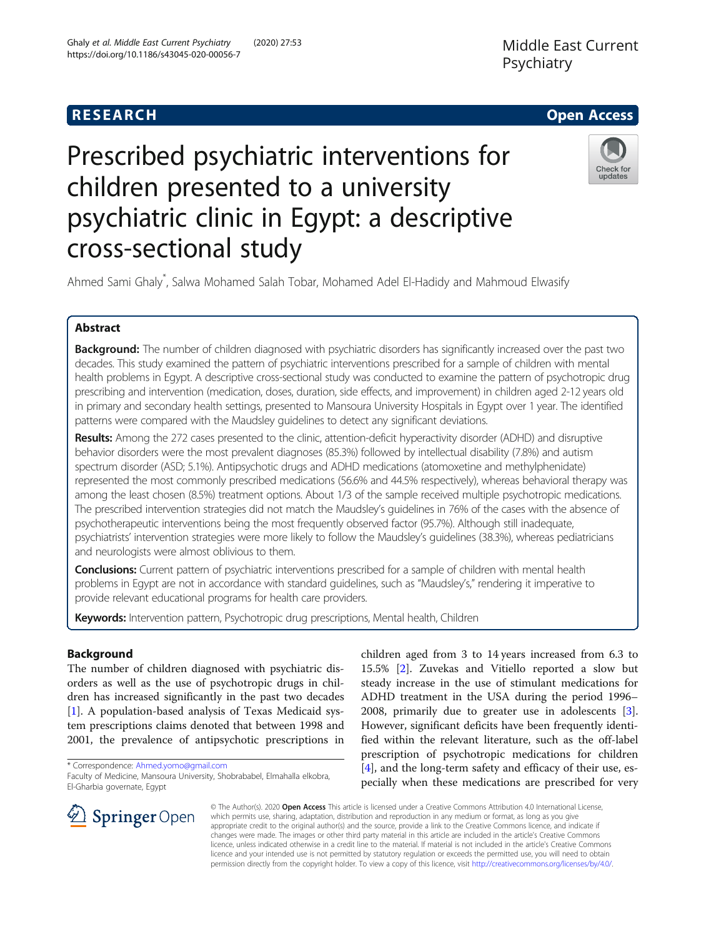## **RESEARCH CHILD CONTROL** CONTROL CONTROL CONTROL CONTROL CONTROL CONTROL CONTROL CONTROL CONTROL CONTROL CONTROL

# Prescribed psychiatric interventions for children presented to a university psychiatric clinic in Egypt: a descriptive cross-sectional study



Ahmed Sami Ghaly\* , Salwa Mohamed Salah Tobar, Mohamed Adel El-Hadidy and Mahmoud Elwasify

### Abstract

Background: The number of children diagnosed with psychiatric disorders has significantly increased over the past two decades. This study examined the pattern of psychiatric interventions prescribed for a sample of children with mental health problems in Egypt. A descriptive cross-sectional study was conducted to examine the pattern of psychotropic drug prescribing and intervention (medication, doses, duration, side effects, and improvement) in children aged 2-12 years old in primary and secondary health settings, presented to Mansoura University Hospitals in Egypt over 1 year. The identified patterns were compared with the Maudsley guidelines to detect any significant deviations.

Results: Among the 272 cases presented to the clinic, attention-deficit hyperactivity disorder (ADHD) and disruptive behavior disorders were the most prevalent diagnoses (85.3%) followed by intellectual disability (7.8%) and autism spectrum disorder (ASD; 5.1%). Antipsychotic drugs and ADHD medications (atomoxetine and methylphenidate) represented the most commonly prescribed medications (56.6% and 44.5% respectively), whereas behavioral therapy was among the least chosen (8.5%) treatment options. About 1/3 of the sample received multiple psychotropic medications. The prescribed intervention strategies did not match the Maudsley's guidelines in 76% of the cases with the absence of psychotherapeutic interventions being the most frequently observed factor (95.7%). Although still inadequate, psychiatrists' intervention strategies were more likely to follow the Maudsley's guidelines (38.3%), whereas pediatricians and neurologists were almost oblivious to them.

**Conclusions:** Current pattern of psychiatric interventions prescribed for a sample of children with mental health problems in Egypt are not in accordance with standard guidelines, such as "Maudsley's," rendering it imperative to provide relevant educational programs for health care providers.

Keywords: Intervention pattern, Psychotropic drug prescriptions, Mental health, Children

#### Background

The number of children diagnosed with psychiatric disorders as well as the use of psychotropic drugs in children has increased significantly in the past two decades [[1\]](#page-5-0). A population-based analysis of Texas Medicaid system prescriptions claims denoted that between 1998 and 2001, the prevalence of antipsychotic prescriptions in

children aged from 3 to 14 years increased from 6.3 to 15.5% [[2](#page-5-0)]. Zuvekas and Vitiello reported a slow but steady increase in the use of stimulant medications for ADHD treatment in the USA during the period 1996– 2008, primarily due to greater use in adolescents [\[3](#page-5-0)]. However, significant deficits have been frequently identified within the relevant literature, such as the off-label prescription of psychotropic medications for children [[4\]](#page-5-0), and the long-term safety and efficacy of their use, especially when these medications are prescribed for very



© The Author(s). 2020 Open Access This article is licensed under a Creative Commons Attribution 4.0 International License, which permits use, sharing, adaptation, distribution and reproduction in any medium or format, as long as you give appropriate credit to the original author(s) and the source, provide a link to the Creative Commons licence, and indicate if changes were made. The images or other third party material in this article are included in the article's Creative Commons licence, unless indicated otherwise in a credit line to the material. If material is not included in the article's Creative Commons licence and your intended use is not permitted by statutory regulation or exceeds the permitted use, you will need to obtain permission directly from the copyright holder. To view a copy of this licence, visit <http://creativecommons.org/licenses/by/4.0/>.

<sup>\*</sup> Correspondence: [Ahmed.yomo@gmail.com](mailto:Ahmed.yomo@gmail.com)

Faculty of Medicine, Mansoura University, Shobrababel, Elmahalla elkobra, El-Gharbia governate, Egypt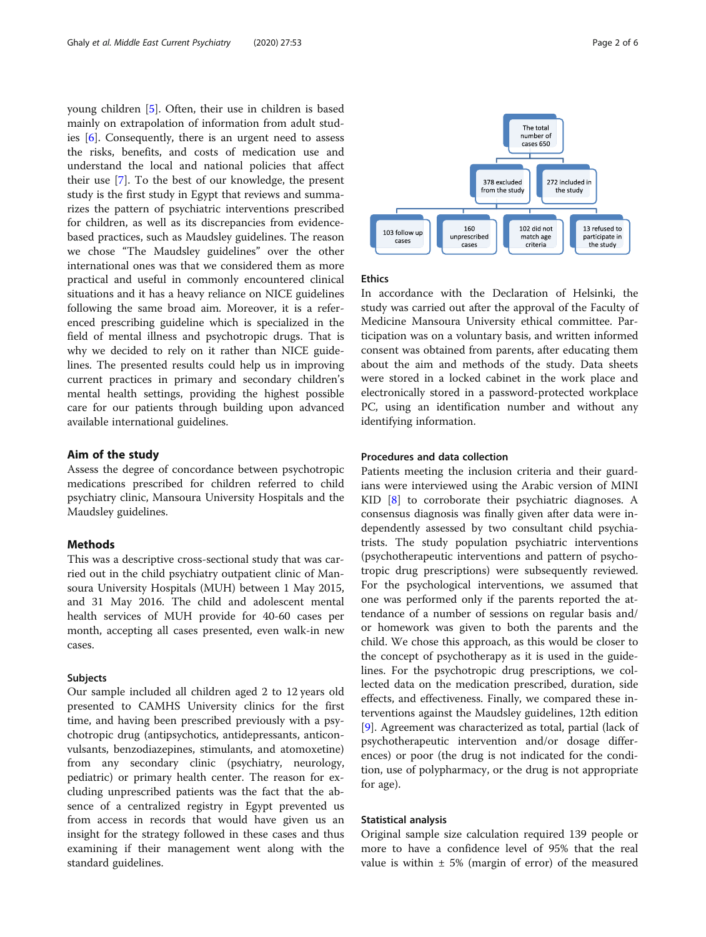young children [[5\]](#page-5-0). Often, their use in children is based mainly on extrapolation of information from adult studies [[6\]](#page-5-0). Consequently, there is an urgent need to assess the risks, benefits, and costs of medication use and understand the local and national policies that affect their use [[7\]](#page-5-0). To the best of our knowledge, the present study is the first study in Egypt that reviews and summarizes the pattern of psychiatric interventions prescribed for children, as well as its discrepancies from evidencebased practices, such as Maudsley guidelines. The reason we chose "The Maudsley guidelines" over the other international ones was that we considered them as more practical and useful in commonly encountered clinical situations and it has a heavy reliance on NICE guidelines following the same broad aim. Moreover, it is a referenced prescribing guideline which is specialized in the field of mental illness and psychotropic drugs. That is why we decided to rely on it rather than NICE guidelines. The presented results could help us in improving current practices in primary and secondary children's mental health settings, providing the highest possible care for our patients through building upon advanced available international guidelines.

#### Aim of the study

Assess the degree of concordance between psychotropic medications prescribed for children referred to child psychiatry clinic, Mansoura University Hospitals and the Maudsley guidelines.

#### Methods

This was a descriptive cross-sectional study that was carried out in the child psychiatry outpatient clinic of Mansoura University Hospitals (MUH) between 1 May 2015, and 31 May 2016. The child and adolescent mental health services of MUH provide for 40-60 cases per month, accepting all cases presented, even walk-in new cases.

#### Subjects

Our sample included all children aged 2 to 12 years old presented to CAMHS University clinics for the first time, and having been prescribed previously with a psychotropic drug (antipsychotics, antidepressants, anticonvulsants, benzodiazepines, stimulants, and atomoxetine) from any secondary clinic (psychiatry, neurology, pediatric) or primary health center. The reason for excluding unprescribed patients was the fact that the absence of a centralized registry in Egypt prevented us from access in records that would have given us an insight for the strategy followed in these cases and thus examining if their management went along with the standard guidelines.



#### Ethics

In accordance with the Declaration of Helsinki, the study was carried out after the approval of the Faculty of Medicine Mansoura University ethical committee. Participation was on a voluntary basis, and written informed consent was obtained from parents, after educating them about the aim and methods of the study. Data sheets were stored in a locked cabinet in the work place and electronically stored in a password-protected workplace PC, using an identification number and without any identifying information.

#### Procedures and data collection

Patients meeting the inclusion criteria and their guardians were interviewed using the Arabic version of MINI KID [\[8](#page-5-0)] to corroborate their psychiatric diagnoses. A consensus diagnosis was finally given after data were independently assessed by two consultant child psychiatrists. The study population psychiatric interventions (psychotherapeutic interventions and pattern of psychotropic drug prescriptions) were subsequently reviewed. For the psychological interventions, we assumed that one was performed only if the parents reported the attendance of a number of sessions on regular basis and/ or homework was given to both the parents and the child. We chose this approach, as this would be closer to the concept of psychotherapy as it is used in the guidelines. For the psychotropic drug prescriptions, we collected data on the medication prescribed, duration, side effects, and effectiveness. Finally, we compared these interventions against the Maudsley guidelines, 12th edition [[9\]](#page-5-0). Agreement was characterized as total, partial (lack of psychotherapeutic intervention and/or dosage differences) or poor (the drug is not indicated for the condition, use of polypharmacy, or the drug is not appropriate for age).

#### Statistical analysis

Original sample size calculation required 139 people or more to have a confidence level of 95% that the real value is within  $\pm$  5% (margin of error) of the measured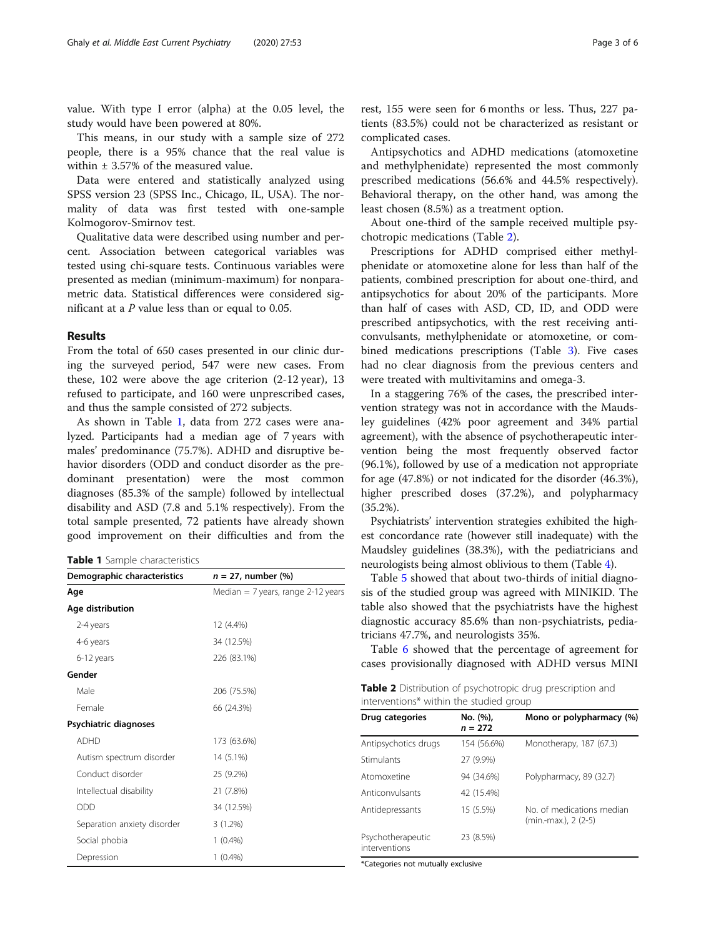value. With type I error (alpha) at the 0.05 level, the study would have been powered at 80%.

This means, in our study with a sample size of 272 people, there is a 95% chance that the real value is within ± 3.57% of the measured value.

Data were entered and statistically analyzed using SPSS version 23 (SPSS Inc., Chicago, IL, USA). The normality of data was first tested with one-sample Kolmogorov-Smirnov test.

Qualitative data were described using number and percent. Association between categorical variables was tested using chi-square tests. Continuous variables were presented as median (minimum-maximum) for nonparametric data. Statistical differences were considered significant at a  $P$  value less than or equal to 0.05.

#### Results

From the total of 650 cases presented in our clinic during the surveyed period, 547 were new cases. From these, 102 were above the age criterion (2-12 year), 13 refused to participate, and 160 were unprescribed cases, and thus the sample consisted of 272 subjects.

As shown in Table 1, data from 272 cases were analyzed. Participants had a median age of 7 years with males' predominance (75.7%). ADHD and disruptive behavior disorders (ODD and conduct disorder as the predominant presentation) were the most common diagnoses (85.3% of the sample) followed by intellectual disability and ASD (7.8 and 5.1% respectively). From the total sample presented, 72 patients have already shown good improvement on their difficulties and from the

Table 1 Sample characteristics

| Demographic characteristics | $n = 27$ , number $%$                |  |  |
|-----------------------------|--------------------------------------|--|--|
| Age                         | Median $= 7$ years, range 2-12 years |  |  |
| Age distribution            |                                      |  |  |
| 2-4 years                   | 12 (4.4%)                            |  |  |
| 4-6 years                   | 34 (12.5%)                           |  |  |
| 6-12 years                  | 226 (83.1%)                          |  |  |
| Gender                      |                                      |  |  |
| Male                        | 206 (75.5%)                          |  |  |
| Female                      | 66 (24.3%)                           |  |  |
| Psychiatric diagnoses       |                                      |  |  |
| <b>ADHD</b>                 | 173 (63.6%)                          |  |  |
| Autism spectrum disorder    | 14 (5.1%)                            |  |  |
| Conduct disorder            | 25 (9.2%)                            |  |  |
| Intellectual disability     | 21 (7.8%)                            |  |  |
| <b>ODD</b>                  | 34 (12.5%)                           |  |  |
| Separation anxiety disorder | $3(1.2\%)$                           |  |  |
| Social phobia               | $1(0.4\%)$                           |  |  |
| Depression                  | $1(0.4\%)$                           |  |  |

rest, 155 were seen for 6 months or less. Thus, 227 patients (83.5%) could not be characterized as resistant or complicated cases.

Antipsychotics and ADHD medications (atomoxetine and methylphenidate) represented the most commonly prescribed medications (56.6% and 44.5% respectively). Behavioral therapy, on the other hand, was among the least chosen (8.5%) as a treatment option.

About one-third of the sample received multiple psychotropic medications (Table 2).

Prescriptions for ADHD comprised either methylphenidate or atomoxetine alone for less than half of the patients, combined prescription for about one-third, and antipsychotics for about 20% of the participants. More than half of cases with ASD, CD, ID, and ODD were prescribed antipsychotics, with the rest receiving anticonvulsants, methylphenidate or atomoxetine, or combined medications prescriptions (Table [3](#page-3-0)). Five cases had no clear diagnosis from the previous centers and were treated with multivitamins and omega-3.

In a staggering 76% of the cases, the prescribed intervention strategy was not in accordance with the Maudsley guidelines (42% poor agreement and 34% partial agreement), with the absence of psychotherapeutic intervention being the most frequently observed factor (96.1%), followed by use of a medication not appropriate for age (47.8%) or not indicated for the disorder (46.3%), higher prescribed doses (37.2%), and polypharmacy (35.2%).

Psychiatrists' intervention strategies exhibited the highest concordance rate (however still inadequate) with the Maudsley guidelines (38.3%), with the pediatricians and neurologists being almost oblivious to them (Table [4](#page-3-0)).

Table [5](#page-4-0) showed that about two-thirds of initial diagnosis of the studied group was agreed with MINIKID. The table also showed that the psychiatrists have the highest diagnostic accuracy 85.6% than non-psychiatrists, pediatricians 47.7%, and neurologists 35%.

Table [6](#page-4-0) showed that the percentage of agreement for cases provisionally diagnosed with ADHD versus MINI

Table 2 Distribution of psychotropic drug prescription and interventions\* within the studied group

| Drug categories                    | No. (%),<br>$n = 272$ | Mono or polypharmacy (%)                          |
|------------------------------------|-----------------------|---------------------------------------------------|
| Antipsychotics drugs               | 154 (56.6%)           | Monotherapy, 187 (67.3)                           |
| Stimulants                         | 27 (9.9%)             |                                                   |
| Atomoxetine                        | 94 (34.6%)            | Polypharmacy, 89 (32.7)                           |
| Anticonvulsants                    | 42 (15.4%)            |                                                   |
| Antidepressants                    | 15 (5.5%)             | No. of medications median<br>(min.-max.), 2 (2-5) |
| Psychotherapeutic<br>interventions | 23 (8.5%)             |                                                   |

\*Categories not mutually exclusive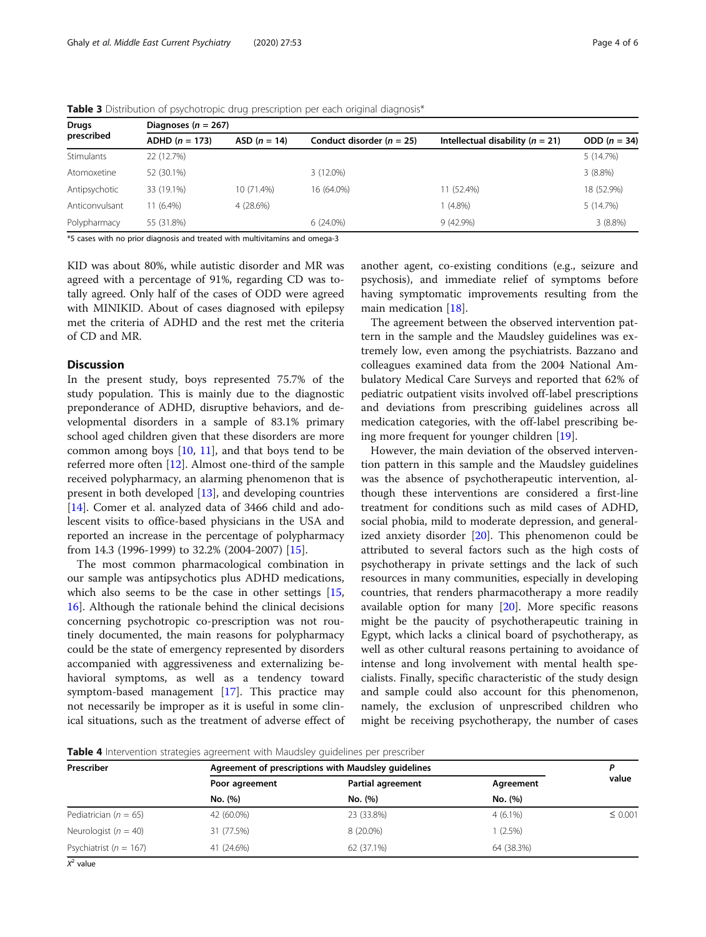| <b>Table 3</b> Distribution of psychotropic and prescription per each original diagnosis" |                  |                         |                             |                                      |                |  |  |  |
|-------------------------------------------------------------------------------------------|------------------|-------------------------|-----------------------------|--------------------------------------|----------------|--|--|--|
| Drugs<br>prescribed                                                                       |                  | Diagnoses ( $n = 267$ ) |                             |                                      |                |  |  |  |
|                                                                                           | $ADHD (n = 173)$ | $ASD (n = 14)$          | Conduct disorder $(n = 25)$ | Intellectual disability ( $n = 21$ ) | ODD $(n = 34)$ |  |  |  |
| Stimulants                                                                                | 22 (12.7%)       |                         |                             |                                      | 5(14.7%)       |  |  |  |
| Atomoxetine                                                                               | 52 (30.1%)       |                         | $3(12.0\%)$                 |                                      | $3(8.8\%)$     |  |  |  |
| Antipsychotic                                                                             | 33 (19.1%)       | 10 (71.4%)              | 16 (64.0%)                  | 11 (52.4%)                           | 18 (52.9%)     |  |  |  |
| Anticonvulsant                                                                            | $11(6.4\%)$      | 4 (28.6%)               |                             | $(4.8\%)$                            | 5 (14.7%)      |  |  |  |
| Polypharmacy                                                                              | 55 (31.8%)       |                         | $6(24.0\%)$                 | 9(42.9%)                             | $3(8.8\%)$     |  |  |  |

<span id="page-3-0"></span>Table 3 Distribution of psychotropic drug prescription per each original diagnosis\*

\*5 cases with no prior diagnosis and treated with multivitamins and omega-3

KID was about 80%, while autistic disorder and MR was agreed with a percentage of 91%, regarding CD was totally agreed. Only half of the cases of ODD were agreed with MINIKID. About of cases diagnosed with epilepsy met the criteria of ADHD and the rest met the criteria of CD and MR.

#### **Discussion**

In the present study, boys represented 75.7% of the study population. This is mainly due to the diagnostic preponderance of ADHD, disruptive behaviors, and developmental disorders in a sample of 83.1% primary school aged children given that these disorders are more common among boys  $[10, 11]$  $[10, 11]$  $[10, 11]$  $[10, 11]$ , and that boys tend to be referred more often [\[12](#page-5-0)]. Almost one-third of the sample received polypharmacy, an alarming phenomenon that is present in both developed [[13](#page-5-0)], and developing countries [[14\]](#page-5-0). Comer et al. analyzed data of 3466 child and adolescent visits to office-based physicians in the USA and reported an increase in the percentage of polypharmacy from 14.3 (1996-1999) to 32.2% (2004-2007) [[15](#page-5-0)].

The most common pharmacological combination in our sample was antipsychotics plus ADHD medications, which also seems to be the case in other settings [[15](#page-5-0), [16\]](#page-5-0). Although the rationale behind the clinical decisions concerning psychotropic co-prescription was not routinely documented, the main reasons for polypharmacy could be the state of emergency represented by disorders accompanied with aggressiveness and externalizing behavioral symptoms, as well as a tendency toward symptom-based management [\[17](#page-5-0)]. This practice may not necessarily be improper as it is useful in some clinical situations, such as the treatment of adverse effect of another agent, co-existing conditions (e.g., seizure and psychosis), and immediate relief of symptoms before having symptomatic improvements resulting from the main medication [[18\]](#page-5-0).

The agreement between the observed intervention pattern in the sample and the Maudsley guidelines was extremely low, even among the psychiatrists. Bazzano and colleagues examined data from the 2004 National Ambulatory Medical Care Surveys and reported that 62% of pediatric outpatient visits involved off-label prescriptions and deviations from prescribing guidelines across all medication categories, with the off-label prescribing being more frequent for younger children [\[19](#page-5-0)].

However, the main deviation of the observed intervention pattern in this sample and the Maudsley guidelines was the absence of psychotherapeutic intervention, although these interventions are considered a first-line treatment for conditions such as mild cases of ADHD, social phobia, mild to moderate depression, and generalized anxiety disorder [[20\]](#page-5-0). This phenomenon could be attributed to several factors such as the high costs of psychotherapy in private settings and the lack of such resources in many communities, especially in developing countries, that renders pharmacotherapy a more readily available option for many  $[20]$  $[20]$  $[20]$ . More specific reasons might be the paucity of psychotherapeutic training in Egypt, which lacks a clinical board of psychotherapy, as well as other cultural reasons pertaining to avoidance of intense and long involvement with mental health specialists. Finally, specific characteristic of the study design and sample could also account for this phenomenon, namely, the exclusion of unprescribed children who might be receiving psychotherapy, the number of cases

**Table 4** Intervention strategies agreement with Maudsley guidelines per prescriber

| Prescriber                 | Agreement of prescriptions with Maudsley guidelines |                   |            |              |
|----------------------------|-----------------------------------------------------|-------------------|------------|--------------|
|                            | Poor agreement                                      | Partial agreement | Agreement  | value        |
|                            | No. (%)                                             | No. (%)           | No. (%)    |              |
| Pediatrician ( $n = 65$ )  | 42 (60.0%)                                          | 23 (33.8%)        | $4(6.1\%)$ | $\leq 0.001$ |
| Neurologist ( $n = 40$ )   | 31 (77.5%)                                          | 8 (20.0%)         | $(2.5\%)$  |              |
| Psychiatrist ( $n = 167$ ) | 41 (24.6%)                                          | 62 (37.1%)        | 64 (38.3%) |              |

 $X^2$  value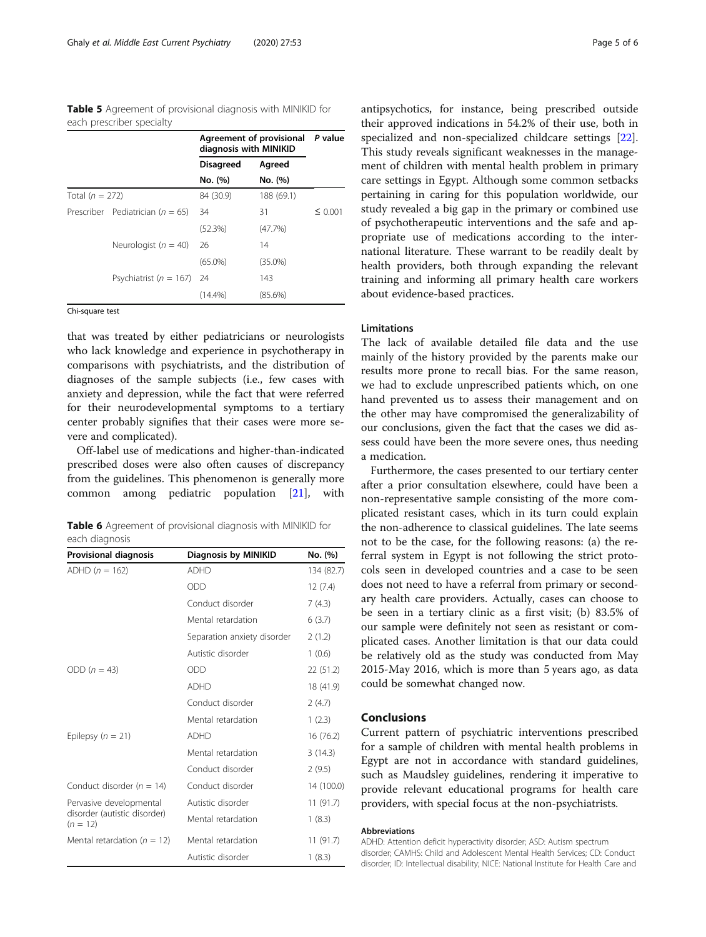<span id="page-4-0"></span>Table 5 Agreement of provisional diagnosis with MINIKID for each prescriber specialty

|                   |                                      | Agreement of provisional P value<br>diagnosis with MINIKID |            |              |
|-------------------|--------------------------------------|------------------------------------------------------------|------------|--------------|
|                   |                                      | <b>Disagreed</b>                                           | Agreed     |              |
|                   |                                      | No. (%)                                                    | No. (%)    |              |
| Total $(n = 272)$ |                                      | 84 (30.9)                                                  | 188 (69.1) |              |
|                   | Prescriber Pediatrician ( $n = 65$ ) | -34                                                        | 31         | $\leq 0.001$ |
|                   |                                      | (52.3%)                                                    | (47.7%)    |              |
|                   | Neurologist ( $n = 40$ ) 26          |                                                            | 14         |              |
|                   |                                      | $(65.0\%)$                                                 | $(35.0\%)$ |              |
|                   | Psychiatrist ( $n = 167$ ) 24        |                                                            | 143        |              |
|                   |                                      | $(14.4\%)$                                                 | $(85.6\%)$ |              |

Chi-square test

that was treated by either pediatricians or neurologists who lack knowledge and experience in psychotherapy in comparisons with psychiatrists, and the distribution of diagnoses of the sample subjects (i.e., few cases with anxiety and depression, while the fact that were referred for their neurodevelopmental symptoms to a tertiary center probably signifies that their cases were more severe and complicated).

Off-label use of medications and higher-than-indicated prescribed doses were also often causes of discrepancy from the guidelines. This phenomenon is generally more common among pediatric population [[21\]](#page-5-0), with

|                |  |  | Table 6 Agreement of provisional diagnosis with MINIKID for |
|----------------|--|--|-------------------------------------------------------------|
| each diagnosis |  |  |                                                             |

| <b>Provisional diagnosis</b>               | Diagnosis by MINIKID        | No. (%)    |
|--------------------------------------------|-----------------------------|------------|
| ADHD $(n = 162)$                           | <b>ADHD</b>                 | 134 (82.7) |
|                                            | ODD                         | 12(7.4)    |
|                                            | Conduct disorder            | 7(4.3)     |
|                                            | Mental retardation          | 6(3.7)     |
|                                            | Separation anxiety disorder | 2(1.2)     |
|                                            | Autistic disorder           | 1(0.6)     |
| ODD $(n = 43)$                             | ODD                         | 22 (51.2)  |
|                                            | <b>ADHD</b>                 | 18 (41.9)  |
|                                            | Conduct disorder            | 2(4.7)     |
|                                            | Mental retardation          | 1(2.3)     |
| Epilepsy ( $n = 21$ )                      | <b>ADHD</b>                 | 16 (76.2)  |
|                                            | Mental retardation          | 3(14.3)    |
|                                            | Conduct disorder            | 2(9.5)     |
| Conduct disorder ( $n = 14$ )              | Conduct disorder            | 14 (100.0) |
| Pervasive developmental                    | Autistic disorder           | 11(91.7)   |
| disorder (autistic disorder)<br>$(n = 12)$ | Mental retardation          | 1(8.3)     |
| Mental retardation ( $n = 12$ )            | Mental retardation          | 11(91.7)   |
|                                            | Autistic disorder           | 1(8.3)     |

antipsychotics, for instance, being prescribed outside their approved indications in 54.2% of their use, both in specialized and non-specialized childcare settings [\[22](#page-5-0)]. This study reveals significant weaknesses in the management of children with mental health problem in primary care settings in Egypt. Although some common setbacks pertaining in caring for this population worldwide, our study revealed a big gap in the primary or combined use of psychotherapeutic interventions and the safe and appropriate use of medications according to the international literature. These warrant to be readily dealt by health providers, both through expanding the relevant training and informing all primary health care workers about evidence-based practices.

#### **Limitations**

The lack of available detailed file data and the use mainly of the history provided by the parents make our results more prone to recall bias. For the same reason, we had to exclude unprescribed patients which, on one hand prevented us to assess their management and on the other may have compromised the generalizability of our conclusions, given the fact that the cases we did assess could have been the more severe ones, thus needing a medication.

Furthermore, the cases presented to our tertiary center after a prior consultation elsewhere, could have been a non-representative sample consisting of the more complicated resistant cases, which in its turn could explain the non-adherence to classical guidelines. The late seems not to be the case, for the following reasons: (a) the referral system in Egypt is not following the strict protocols seen in developed countries and a case to be seen does not need to have a referral from primary or secondary health care providers. Actually, cases can choose to be seen in a tertiary clinic as a first visit; (b) 83.5% of our sample were definitely not seen as resistant or complicated cases. Another limitation is that our data could be relatively old as the study was conducted from May 2015-May 2016, which is more than 5 years ago, as data could be somewhat changed now.

#### Conclusions

Current pattern of psychiatric interventions prescribed for a sample of children with mental health problems in Egypt are not in accordance with standard guidelines, such as Maudsley guidelines, rendering it imperative to provide relevant educational programs for health care providers, with special focus at the non-psychiatrists.

#### Abbreviations

ADHD: Attention deficit hyperactivity disorder; ASD: Autism spectrum disorder; CAMHS: Child and Adolescent Mental Health Services; CD: Conduct disorder; ID: Intellectual disability; NICE: National Institute for Health Care and